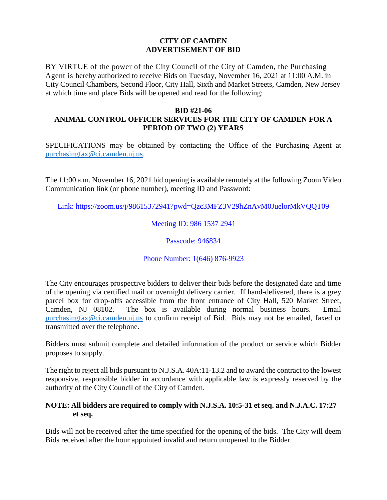## **CITY OF CAMDEN ADVERTISEMENT OF BID**

BY VIRTUE of the power of the City Council of the City of Camden, the Purchasing Agent is hereby authorized to receive Bids on Tuesday, November 16, 2021 at 11:00 A.M. in City Council Chambers, Second Floor, City Hall, Sixth and Market Streets, Camden, New Jersey at which time and place Bids will be opened and read for the following:

## **BID #21-06**

## **ANIMAL CONTROL OFFICER SERVICES FOR THE CITY OF CAMDEN FOR A PERIOD OF TWO (2) YEARS**

SPECIFICATIONS may be obtained by contacting the Office of the Purchasing Agent at [purchasingfax@ci.camden.nj.us.](mailto:purchasingfax@ci.camden.nj.us)

The 11:00 a.m. November 16, 2021 bid opening is available remotely at the following Zoom Video Communication link (or phone number), meeting ID and Password:

Link:<https://zoom.us/j/98615372941?pwd=Qzc3MFZ3V29hZnAvM0JuelorMkVQQT09>

Meeting ID: 986 1537 2941

Passcode: 946834

Phone Number: 1(646) 876-9923

The City encourages prospective bidders to deliver their bids before the designated date and time of the opening via certified mail or overnight delivery carrier. If hand-delivered, there is a grey parcel box for drop-offs accessible from the front entrance of City Hall, 520 Market Street, Camden, NJ 08102. The box is available during normal business hours. Email [purchasingfax@ci.camden.nj.us](mailto:purchasingfax@ci.camden.nj.us) to confirm receipt of Bid. Bids may not be emailed, faxed or transmitted over the telephone.

Bidders must submit complete and detailed information of the product or service which Bidder proposes to supply.

The right to reject all bids pursuant to N.J.S.A. 40A:11-13.2 and to award the contract to the lowest responsive, responsible bidder in accordance with applicable law is expressly reserved by the authority of the City Council of the City of Camden.

## **NOTE: All bidders are required to comply with N.J.S.A. 10:5-31 et seq. and N.J.A.C. 17:27 et seq.**

Bids will not be received after the time specified for the opening of the bids. The City will deem Bids received after the hour appointed invalid and return unopened to the Bidder.